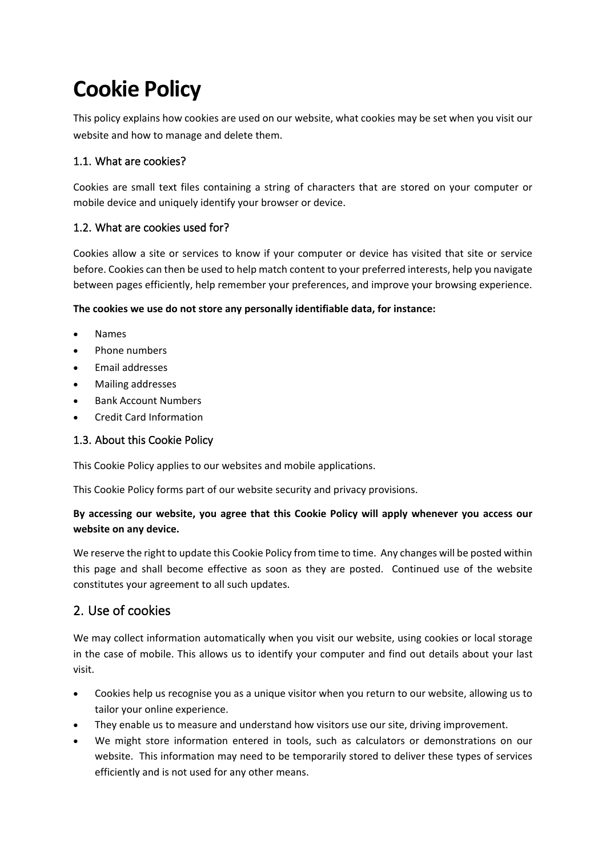# **Cookie Policy**

This policy explains how cookies are used on our website, what cookies may be set when you visit our website and how to manage and delete them.

## 1.1. What are cookies?

Cookies are small text files containing a string of characters that are stored on your computer or mobile device and uniquely identify your browser or device.

## 1.2. What are cookies used for?

Cookies allow a site or services to know if your computer or device has visited that site or service before. Cookies can then be used to help match content to your preferred interests, help you navigate between pages efficiently, help remember your preferences, and improve your browsing experience.

### **The cookies we use do not store any personally identifiable data, for instance:**

- Names
- Phone numbers
- Email addresses
- Mailing addresses
- Bank Account Numbers
- Credit Card Information

## 1.3. About this Cookie Policy

This Cookie Policy applies to our websites and mobile applications.

This Cookie Policy forms part of our website security and privacy provisions.

## **By accessing our website, you agree that this Cookie Policy will apply whenever you access our website on any device.**

We reserve the right to update this Cookie Policy from time to time. Any changes will be posted within this page and shall become effective as soon as they are posted. Continued use of the website constitutes your agreement to all such updates.

# 2. Use of cookies

We may collect information automatically when you visit our website, using cookies or local storage in the case of mobile. This allows us to identify your computer and find out details about your last visit.

- Cookies help us recognise you as a unique visitor when you return to our website, allowing us to tailor your online experience.
- They enable us to measure and understand how visitors use our site, driving improvement.
- We might store information entered in tools, such as calculators or demonstrations on our website. This information may need to be temporarily stored to deliver these types of services efficiently and is not used for any other means.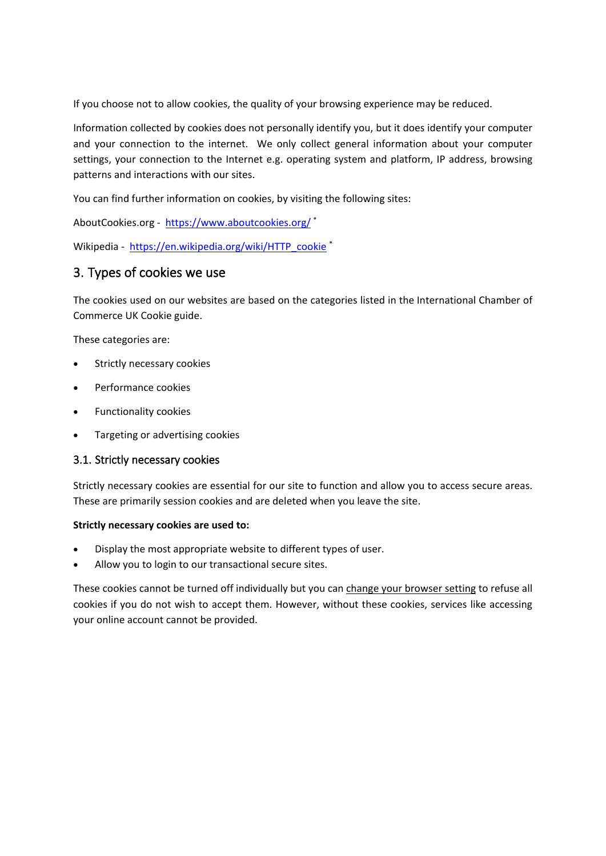If you choose not to allow cookies, the quality of your browsing experience may be reduced.

Information collected by cookies does not personally identify you, but it does identify your computer and your connection to the internet. We only collect general information about your computer settings, your connection to the Internet e.g. operating system and platform, IP address, browsing patterns and interactions with our sites.

You can find further information on cookies, by visiting the following sites:

AboutCookies.org - https://www.aboutcookies.org/ \*

Wikipedia - https://en.wikipedia.org/wiki/HTTP\_cookie \*

## 3. Types of cookies we use

The cookies used on our websites are based on the categories listed in the International Chamber of Commerce UK Cookie guide.

These categories are:

- Strictly necessary cookies
- Performance cookies
- Functionality cookies
- Targeting or advertising cookies

#### 3.1. Strictly necessary cookies

Strictly necessary cookies are essential for our site to function and allow you to access secure areas. These are primarily session cookies and are deleted when you leave the site.

#### **Strictly necessary cookies are used to:**

- Display the most appropriate website to different types of user.
- Allow you to login to our transactional secure sites.

These cookies cannot be turned off individually but you can change your browser setting to refuse all cookies if you do not wish to accept them. However, without these cookies, services like accessing your online account cannot be provided.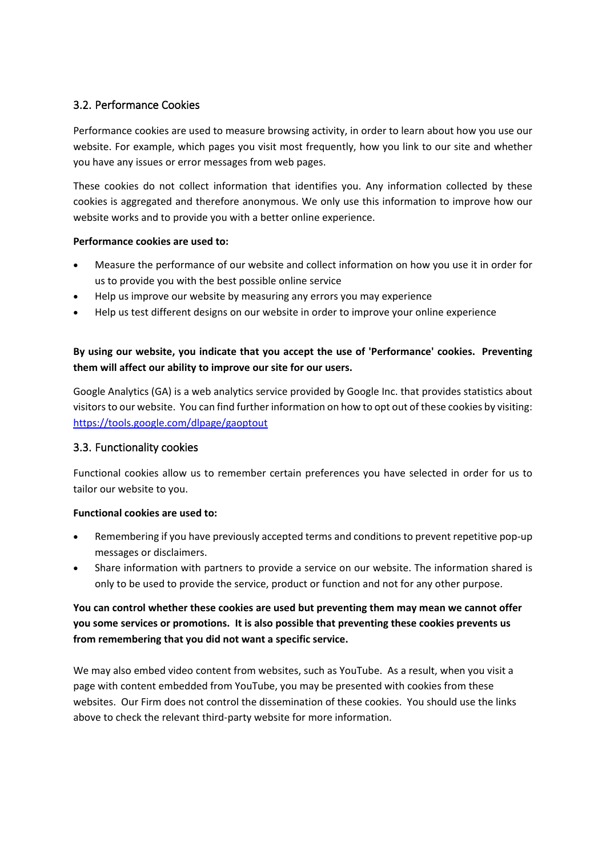## 3.2. Performance Cookies

Performance cookies are used to measure browsing activity, in order to learn about how you use our website. For example, which pages you visit most frequently, how you link to our site and whether you have any issues or error messages from web pages.

These cookies do not collect information that identifies you. Any information collected by these cookies is aggregated and therefore anonymous. We only use this information to improve how our website works and to provide you with a better online experience.

#### **Performance cookies are used to:**

- Measure the performance of our website and collect information on how you use it in order for us to provide you with the best possible online service
- Help us improve our website by measuring any errors you may experience
- Help us test different designs on our website in order to improve your online experience

## **By using our website, you indicate that you accept the use of 'Performance' cookies. Preventing them will affect our ability to improve our site for our users.**

Google Analytics (GA) is a web analytics service provided by Google Inc. that provides statistics about visitors to our website. You can find further information on how to opt out of these cookies by visiting: https://tools.google.com/dlpage/gaoptout

## 3.3. Functionality cookies

Functional cookies allow us to remember certain preferences you have selected in order for us to tailor our website to you.

#### **Functional cookies are used to:**

- Remembering if you have previously accepted terms and conditions to prevent repetitive pop-up messages or disclaimers.
- Share information with partners to provide a service on our website. The information shared is only to be used to provide the service, product or function and not for any other purpose.

## **You can control whether these cookies are used but preventing them may mean we cannot offer you some services or promotions. It is also possible that preventing these cookies prevents us from remembering that you did not want a specific service.**

We may also embed video content from websites, such as YouTube. As a result, when you visit a page with content embedded from YouTube, you may be presented with cookies from these websites. Our Firm does not control the dissemination of these cookies. You should use the links above to check the relevant third-party website for more information.